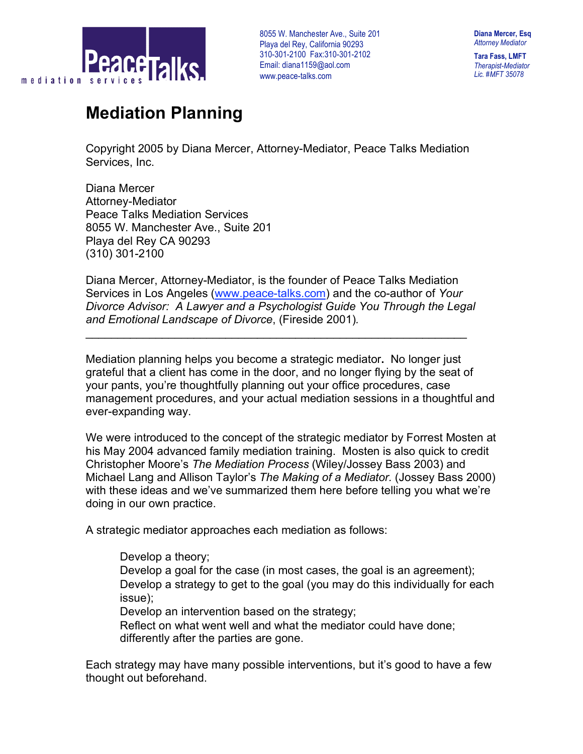

**Tara Fass, LMFT** *Therapist-Mediator Lic. #MFT 35078*

# **Mediation Planning**

Copyright 2005 by Diana Mercer, Attorney-Mediator, Peace Talks Mediation Services, Inc.

Diana Mercer Attorney-Mediator Peace Talks Mediation Services 8055 W. Manchester Ave., Suite 201 Playa del Rey CA 90293 (310) 301-2100

Diana Mercer, Attorney-Mediator, is the founder of Peace Talks Mediation Services in Los Angeles (www.peace-talks.com) and the co-author of *Your Divorce Advisor: A Lawyer and a Psychologist Guide You Through the Legal and Emotional Landscape of Divorce*, (Fireside 2001)*.*

 $\mathcal{L}_\text{max}$  , and the contract of the contract of the contract of the contract of the contract of the contract of the contract of the contract of the contract of the contract of the contract of the contract of the contr

Mediation planning helps you become a strategic mediator**.** No longer just grateful that a client has come in the door, and no longer flying by the seat of your pants, you're thoughtfully planning out your office procedures, case management procedures, and your actual mediation sessions in a thoughtful and ever-expanding way.

We were introduced to the concept of the strategic mediator by Forrest Mosten at his May 2004 advanced family mediation training. Mosten is also quick to credit Christopher Moore's *The Mediation Process* (Wiley/Jossey Bass 2003) and Michael Lang and Allison Taylor's *The Making of a Mediator.* (Jossey Bass 2000) with these ideas and we've summarized them here before telling you what we're doing in our own practice.

A strategic mediator approaches each mediation as follows:

Develop a theory;

 Develop a goal for the case (in most cases, the goal is an agreement); Develop a strategy to get to the goal (you may do this individually for each issue);

Develop an intervention based on the strategy;

 Reflect on what went well and what the mediator could have done; differently after the parties are gone.

Each strategy may have many possible interventions, but it's good to have a few thought out beforehand.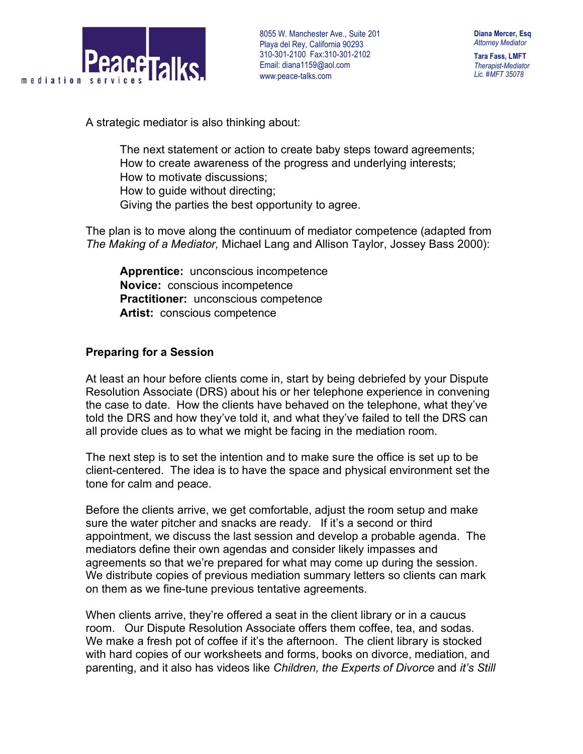

**Tara Fass, LMFT** *Therapist-Mediator Lic. #MFT 35078*

A strategic mediator is also thinking about:

 The next statement or action to create baby steps toward agreements; How to create awareness of the progress and underlying interests; How to motivate discussions; How to guide without directing; Giving the parties the best opportunity to agree.

The plan is to move along the continuum of mediator competence (adapted from *The Making of a Mediator,* Michael Lang and Allison Taylor, Jossey Bass 2000):

 **Apprentice:** unconscious incompetence **Novice:** conscious incompetence **Practitioner:** unconscious competence **Artist:** conscious competence

### **Preparing for a Session**

At least an hour before clients come in, start by being debriefed by your Dispute Resolution Associate (DRS) about his or her telephone experience in convening the case to date. How the clients have behaved on the telephone, what they've told the DRS and how they've told it, and what they've failed to tell the DRS can all provide clues as to what we might be facing in the mediation room.

The next step is to set the intention and to make sure the office is set up to be client-centered. The idea is to have the space and physical environment set the tone for calm and peace.

Before the clients arrive, we get comfortable, adjust the room setup and make sure the water pitcher and snacks are ready. If it's a second or third appointment, we discuss the last session and develop a probable agenda. The mediators define their own agendas and consider likely impasses and agreements so that we're prepared for what may come up during the session. We distribute copies of previous mediation summary letters so clients can mark on them as we fine-tune previous tentative agreements.

When clients arrive, they're offered a seat in the client library or in a caucus room. Our Dispute Resolution Associate offers them coffee, tea, and sodas. We make a fresh pot of coffee if it's the afternoon. The client library is stocked with hard copies of our worksheets and forms, books on divorce, mediation, and parenting, and it also has videos like *Children, the Experts of Divorce* and *it's Still*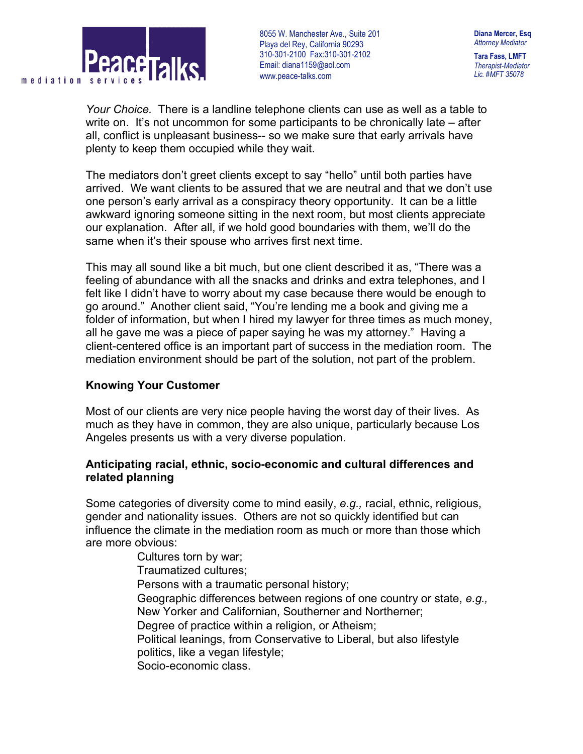

**Diana Mercer, Esq** *Attorney Mediator* **Tara Fass, LMFT**

*Therapist-Mediator Lic. #MFT 35078*

*Your Choice.* There is a landline telephone clients can use as well as a table to write on. It's not uncommon for some participants to be chronically late – after all, conflict is unpleasant business-- so we make sure that early arrivals have plenty to keep them occupied while they wait.

The mediators don't greet clients except to say "hello" until both parties have arrived. We want clients to be assured that we are neutral and that we don't use one person's early arrival as a conspiracy theory opportunity. It can be a little awkward ignoring someone sitting in the next room, but most clients appreciate our explanation. After all, if we hold good boundaries with them, we'll do the same when it's their spouse who arrives first next time.

This may all sound like a bit much, but one client described it as, "There was a feeling of abundance with all the snacks and drinks and extra telephones, and I felt like I didn't have to worry about my case because there would be enough to go around." Another client said, "You're lending me a book and giving me a folder of information, but when I hired my lawyer for three times as much money, all he gave me was a piece of paper saying he was my attorney." Having a client-centered office is an important part of success in the mediation room. The mediation environment should be part of the solution, not part of the problem.

#### **Knowing Your Customer**

Most of our clients are very nice people having the worst day of their lives. As much as they have in common, they are also unique, particularly because Los Angeles presents us with a very diverse population.

#### **Anticipating racial, ethnic, socio-economic and cultural differences and related planning**

Some categories of diversity come to mind easily, *e.g.,* racial, ethnic, religious, gender and nationality issues. Others are not so quickly identified but can influence the climate in the mediation room as much or more than those which are more obvious:

 Cultures torn by war; Traumatized cultures; Persons with a traumatic personal history; Geographic differences between regions of one country or state, *e.g.,* New Yorker and Californian, Southerner and Northerner; Degree of practice within a religion, or Atheism; Political leanings, from Conservative to Liberal, but also lifestyle politics, like a vegan lifestyle; Socio-economic class.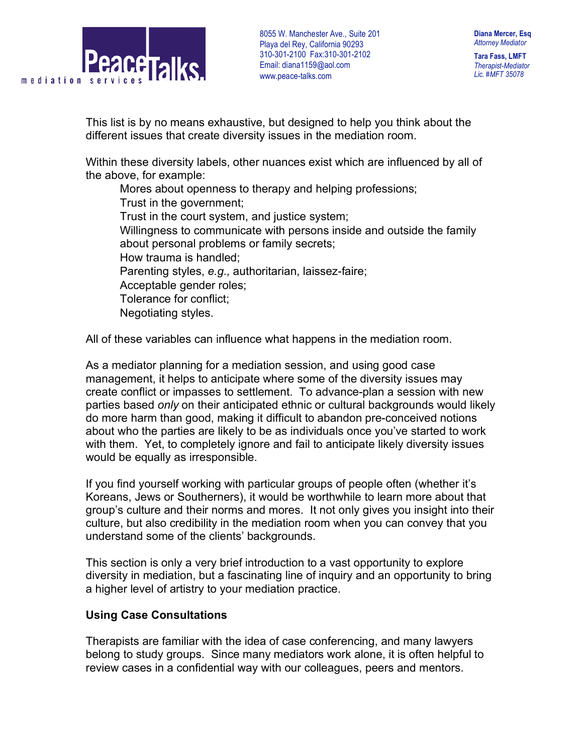

**Tara Fass, LMFT** *Therapist-Mediator Lic. #MFT 35078*

This list is by no means exhaustive, but designed to help you think about the different issues that create diversity issues in the mediation room.

Within these diversity labels, other nuances exist which are influenced by all of the above, for example:

 Mores about openness to therapy and helping professions; Trust in the government; Trust in the court system, and justice system; Willingness to communicate with persons inside and outside the family about personal problems or family secrets; How trauma is handled; Parenting styles, *e.g.,* authoritarian, laissez-faire; Acceptable gender roles; Tolerance for conflict; Negotiating styles.

All of these variables can influence what happens in the mediation room.

As a mediator planning for a mediation session, and using good case management, it helps to anticipate where some of the diversity issues may create conflict or impasses to settlement. To advance-plan a session with new parties based *only* on their anticipated ethnic or cultural backgrounds would likely do more harm than good, making it difficult to abandon pre-conceived notions about who the parties are likely to be as individuals once you've started to work with them. Yet, to completely ignore and fail to anticipate likely diversity issues would be equally as irresponsible.

If you find yourself working with particular groups of people often (whether it's Koreans, Jews or Southerners), it would be worthwhile to learn more about that group's culture and their norms and mores. It not only gives you insight into their culture, but also credibility in the mediation room when you can convey that you understand some of the clients' backgrounds.

This section is only a very brief introduction to a vast opportunity to explore diversity in mediation, but a fascinating line of inquiry and an opportunity to bring a higher level of artistry to your mediation practice.

#### **Using Case Consultations**

Therapists are familiar with the idea of case conferencing, and many lawyers belong to study groups. Since many mediators work alone, it is often helpful to review cases in a confidential way with our colleagues, peers and mentors.